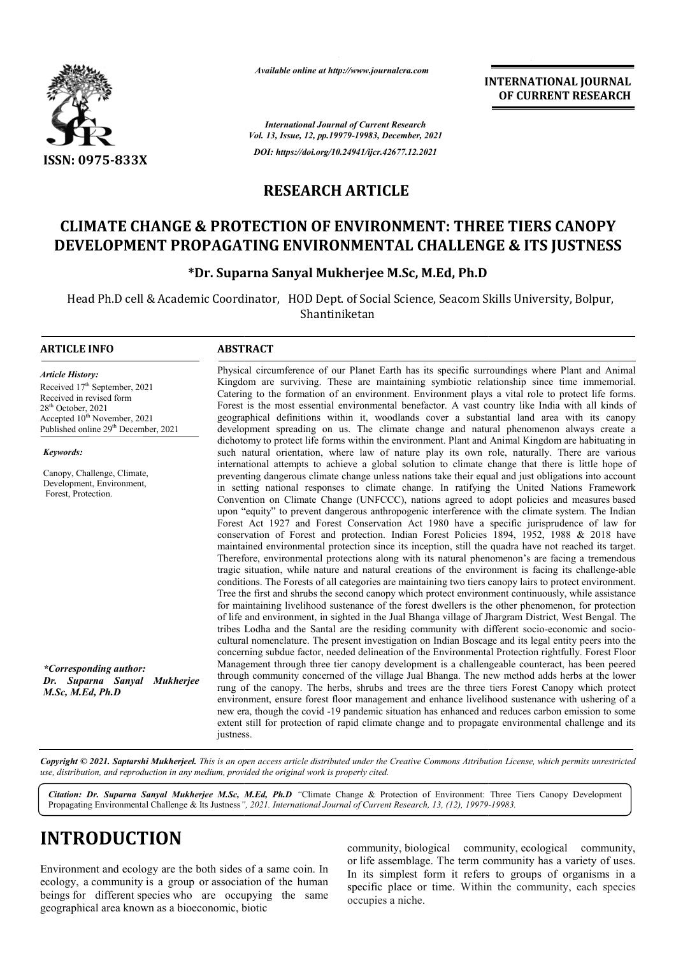

*Available online at http://www.journalcra.com*

**INTERNATIONAL JOURNAL OF CURRENT RESEARCH**

*International Journal of Current Research Vol. 13, Issue, 12, pp.19979-19983, December, 2021 DOI: https://doi.org/10.24941/ijcr.42677.12.2021*

# **RESEARCH ARTICLE**

# **CLIMATE CHANGE & PROTECTION OF ENVIRONMENT: THREE TIERS CANOPY DEVELOPMENT PROPAGATING ENVIRONMENTAL CHALLENGE & ITS JUSTNESS ITS JUSTNESS**

### **\*Dr. Suparna Sanyal Mukherjee M.Sc, M.Ed, Ph.D Dr.**

Head Ph.D cell & Academic Coordinator, HOD Dept. of Social Science, Seacom Skills University, Bolpur, Shantiniketan

### **ARTICLE INFO ABSTRACT**

*Article History: ArticleHistory:Article History:* Received 17<sup>th</sup> September, 2021 Received in revised form Received in revised form Received in revised form  $28<sup>th</sup>$  October, 2021 Accepted  $10^{\text{th}}$  November, 2021 Published online 29<sup>th</sup> December, 2021

*Keywords:*

Canopy, Challenge, Climate, Development, Environment, Forest, Protection.

*\*Corresponding author: Dr. Suparna Sanyal Mukherjee M.Sc, M.Ed, Ph.D*

Physical circumference of our Planet Earth has its specific surroundings where Plant and Animal Kingdom are surviving. These are maintaining symbiotic relationship since time immemorial. Physical circumference of our Planet Earth has its specific surroundings where Plant and Animal Kingdom are surviving. These are maintaining symbiotic relationship since time immemorial. Catering to the formation of an env Forest is the most essential environmental benefactor. A vast country like India with all kinds of geographical definitions within it, woodlands cover a substantial land area with its canopy development spreading on us. The climate change and natural phenomenon always create a dichotomy to protect life forms within the environment. Plant and Animal Kingdom are habituating in such natural orientation, where law of nature play its own role, naturally. There are various internatio international attempts to achieve a global solution to climate change that there is little hope of preventing dangerous climate change unless nations take their equal and just obligations into account in setting national responses to climate change. In ratifying the United Nations Framework Convention on Climate Change (UNFCCC), nations agreed to adopt policies and measures based upon "equity" to prevent dangerous anthropogenic interference with the climate system. The Indian Forest Act 1927 and Forest Conservation Act 1980 have a specific jurisprudence of law for conservation of Forest and protection. Indian Forest Policies 1894, 1952, 1988 & 2018 have maintained environmental protection since conservation of Forest and protection. Indian Forest Policies 1894, 1952, 1988 & 2018 have maintained environmental protection since its inception, still the quadra have not reached its target. Therefore, environmental protections along with its natural phenomenon's are facing a tremendous tragic situation, while nature and natural creations of the environment is facing its challenge conditions. The Forests of all categories are maintaining two tiers canopy lairs to protect environment. Tree the first and shrubs the second canopy which protect environment continuously, while assistance for maintaining livelihood sustenance of the forest dwellers is the other phenomenon, for protection of life and environment, in sighted in the Jual Bhanga village of Jhargram District, West Bengal. The Tree the first and shrubs the second canopy which protect environment continuously, while assistance for maintaining livelihood sustenance of the forest dwellers is the other phenomenon, for protection of life and environm cultural nomenclature. The present investigation on Indian Boscage and its legal entity peers into the concerning subdue factor, needed delineation of the Environmental Protection rightfully. Forest Floor Management through three tier canopy development is a challengeable counteract, has been peered through community concerned of the village Jual Bhanga. The new method adds herbs at the lower rung of the canopy. The herbs, shrubs and trees are the three tiers Forest Canopy which protect environment, ensure forest floor management and enhance livelihood sustenance with ushering of a new era, though the covid -19 pandemic situation has enhanced and reduces carbon emission to some extent still for protection of rapid climate change and to propagate environmental challenge and its justness. Forest is the most essential environmental benefactor. A vast country like India with all kinds of geographical definitions within it, woodlands cover a substantial land area with its canopy development spreading on us. Th international attempts to achieve a global solution to climate change that there is little hope of<br>preventing dangerous climate change unless nations take their equal and just obligations into account<br>in setting national r concerning subdue factor, needed delineation of the Environmental Protection rightfully. Forest Floor Management through three tier canopy development is a challengeable counteract, has been peered through community concer INTERNATIONAL JOURNAL<br>
OF CURRENT RESEARCH<br>
OF CURRENT RESEARCH<br>
OF CURRENT RESEARCH<br>
CONGE & ITS JUSTNESS<br>
Ph.D<br>
com Skills University, Bolpur,<br>
the surroundings where Plant and Animatoric relationship since time immensio

Copyright © 2021. Saptarshi Mukherjeel. This is an open access article distributed under the Creative Commons Attribution License, which permits unrestricted *use, distribution, and reproduction in any medium, provided the original work is properly cited.*

Citation: Dr. Suparna Sanyal Mukherjee M.Sc, M.Ed, Ph.D "Climate Change & Protection of Environment: Three Tiers Canopy Development Propagating Environmental Challenge & Its Justness*" ", 2021. International Journal of Current Research, 13, (12), 19979- -19983.*

# **INTRODUCTION**

Environment and ecology are the both sides of a same coin. In ecology, a community is a group or association of the human beings for different species who are occupying the same geographical area known as a bioeconomic, biotic

community, biological community, ecological community, or life assemblage. The term community has a variety of uses. In its simplest form it refers to groups of organisms in a specific place or time. Within the community, each species occupies a niche.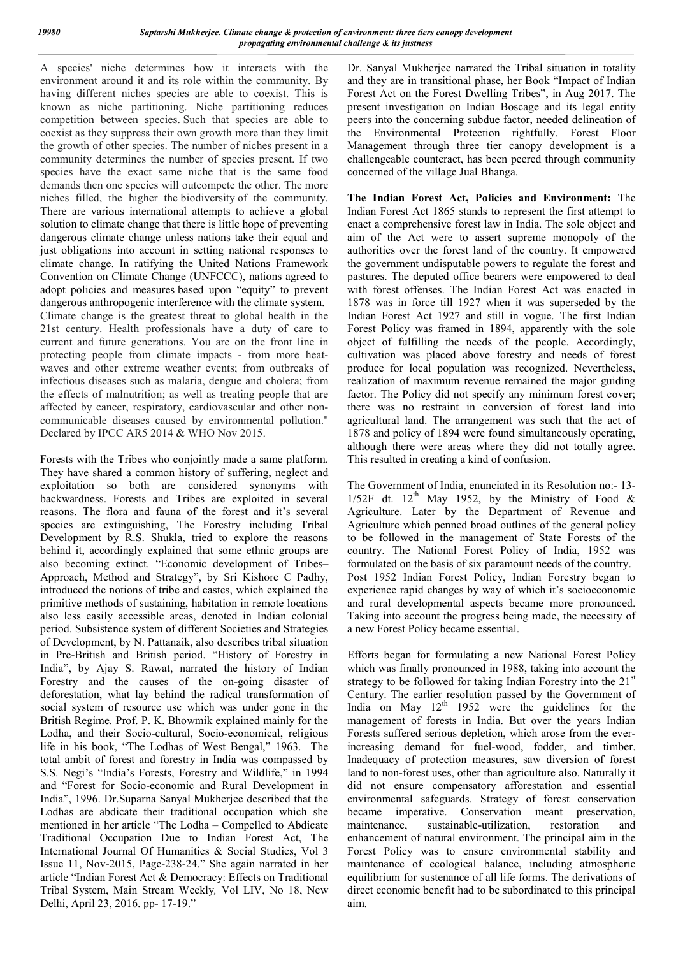A species' niche determines how it interacts with the environment around it and its role within the community. By having different niches species are able to coexist. This is known as niche partitioning. Niche partitioning reduces competition between species. Such that species are able to coexist as they suppress their own growth more than they limit the growth of other species. The number of niches present in a community determines the number of species present. If two species have the exact same niche that is the same food demands then one species will outcompete the other. The more niches filled, the higher the biodiversity of the community. There are various international attempts to achieve a global solution to climate change that there is little hope of preventing dangerous climate change unless nations take their equal and just obligations into account in setting national responses to climate change. In ratifying the United Nations Framework Convention on Climate Change (UNFCCC), nations agreed to adopt policies and measures based upon "equity" to prevent dangerous anthropogenic interference with the climate system. Climate change is the greatest threat to global health in the 21st century. Health professionals have a duty of care to current and future generations. You are on the front line in protecting people from climate impacts - from more heatwaves and other extreme weather events; from outbreaks of infectious diseases such as malaria, dengue and cholera; from the effects of malnutrition; as well as treating people that are affected by cancer, respiratory, cardiovascular and other noncommunicable diseases caused by environmental pollution." Declared by IPCC AR5 2014 & WHO Nov 2015.

Forests with the Tribes who conjointly made a same platform. They have shared a common history of suffering, neglect and exploitation so both are considered synonyms with backwardness. Forests and Tribes are exploited in several reasons. The flora and fauna of the forest and it's several species are extinguishing, The Forestry including Tribal Development by R.S. Shukla, tried to explore the reasons behind it, accordingly explained that some ethnic groups are also becoming extinct. "Economic development of Tribes– Approach, Method and Strategy", by Sri Kishore C Padhy, introduced the notions of tribe and castes, which explained the primitive methods of sustaining, habitation in remote locations also less easily accessible areas, denoted in Indian colonial period. Subsistence system of different Societies and Strategies of Development, by N. Pattanaik, also describes tribal situation in Pre-British and British period. "History of Forestry in India", by Ajay S. Rawat, narrated the history of Indian Forestry and the causes of the on-going disaster of deforestation, what lay behind the radical transformation of social system of resource use which was under gone in the British Regime. Prof. P. K. Bhowmik explained mainly for the Lodha, and their Socio-cultural, Socio-economical, religious life in his book, "The Lodhas of West Bengal," 1963. The total ambit of forest and forestry in India was compassed by S.S. Negi's "India's Forests, Forestry and Wildlife," in 1994 and "Forest for Socio-economic and Rural Development in India", 1996. Dr.Suparna Sanyal Mukherjee described that the Lodhas are abdicate their traditional occupation which she mentioned in her article "The Lodha – Compelled to Abdicate Traditional Occupation Due to Indian Forest Act, The International Journal Of Humanities & Social Studies, Vol 3 Issue 11, Nov-2015, Page-238-24." She again narrated in her article "Indian Forest Act & Democracy: Effects on Traditional Tribal System, Main Stream Weekly*,* Vol LIV, No 18, New Delhi, April 23, 2016. pp- 17-19."

Dr. Sanyal Mukherjee narrated the Tribal situation in totality and they are in transitional phase, her Book "Impact of Indian Forest Act on the Forest Dwelling Tribes", in Aug 2017. The present investigation on Indian Boscage and its legal entity peers into the concerning subdue factor, needed delineation of the Environmental Protection rightfully. Forest Floor Management through three tier canopy development is a challengeable counteract, has been peered through community concerned of the village Jual Bhanga.

**The Indian Forest Act, Policies and Environment:** The Indian Forest Act 1865 stands to represent the first attempt to enact a comprehensive forest law in India. The sole object and aim of the Act were to assert supreme monopoly of the authorities over the forest land of the country. It empowered the government undisputable powers to regulate the forest and pastures. The deputed office bearers were empowered to deal with forest offenses. The Indian Forest Act was enacted in 1878 was in force till 1927 when it was superseded by the Indian Forest Act 1927 and still in vogue. The first Indian Forest Policy was framed in 1894, apparently with the sole object of fulfilling the needs of the people. Accordingly, cultivation was placed above forestry and needs of forest produce for local population was recognized. Nevertheless, realization of maximum revenue remained the major guiding factor. The Policy did not specify any minimum forest cover; there was no restraint in conversion of forest land into agricultural land. The arrangement was such that the act of 1878 and policy of 1894 were found simultaneously operating, although there were areas where they did not totally agree. This resulted in creating a kind of confusion.

The Government of India, enunciated in its Resolution no:- 13- 1/52F dt.  $12^{th}$  May 1952, by the Ministry of Food & Agriculture. Later by the Department of Revenue and Agriculture which penned broad outlines of the general policy to be followed in the management of State Forests of the country. The National Forest Policy of India, 1952 was formulated on the basis of six paramount needs of the country. Post 1952 Indian Forest Policy, Indian Forestry began to experience rapid changes by way of which it's socioeconomic and rural developmental aspects became more pronounced. Taking into account the progress being made, the necessity of a new Forest Policy became essential.

Efforts began for formulating a new National Forest Policy which was finally pronounced in 1988, taking into account the strategy to be followed for taking Indian Forestry into the  $21<sup>st</sup>$ Century. The earlier resolution passed by the Government of India on May  $12<sup>th</sup>$  1952 were the guidelines for the management of forests in India. But over the years Indian Forests suffered serious depletion, which arose from the everincreasing demand for fuel-wood, fodder, and timber. Inadequacy of protection measures, saw diversion of forest land to non-forest uses, other than agriculture also. Naturally it did not ensure compensatory afforestation and essential environmental safeguards. Strategy of forest conservation became imperative. Conservation meant preservation, maintenance, sustainable-utilization, restoration and enhancement of natural environment. The principal aim in the Forest Policy was to ensure environmental stability and maintenance of ecological balance, including atmospheric equilibrium for sustenance of all life forms. The derivations of direct economic benefit had to be subordinated to this principal aim.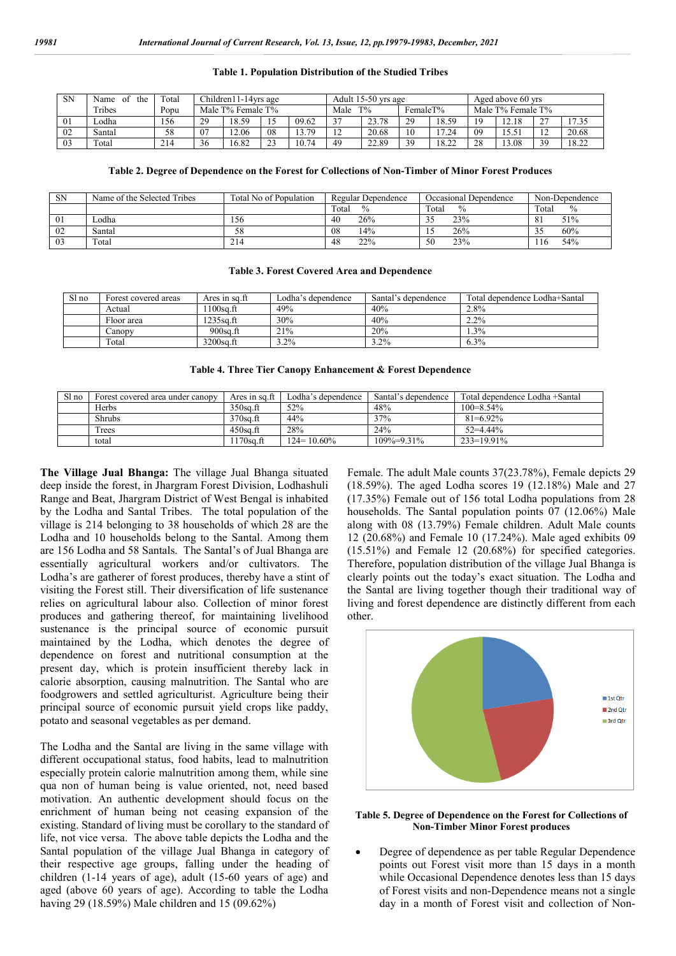#### **Table 1. Population Distribution of the Studied Tribes**

| <b>SN</b> | Name<br>the<br>0t | Total | Children11-14yrs age |       |                           | Adult 15-50 yrs age |                      |       |    | Aged above 60 yrs |    |       |                    |       |
|-----------|-------------------|-------|----------------------|-------|---------------------------|---------------------|----------------------|-------|----|-------------------|----|-------|--------------------|-------|
|           | Tribes            | Popu  | Male T% Female T%    |       | FemaleT%<br>$T\%$<br>Male |                     | Male T% Female T%    |       |    |                   |    |       |                    |       |
| 01        | Lodha             | 156   | 29                   | 18.59 |                           | 09.62               | 37                   | 23.78 | 29 | 18.59             | 19 | 12.18 | $\sim$<br><u>.</u> | 17.35 |
| 02        | Santal            | 58    | 07                   | 12.06 | 08                        | 13.79               | 1 <sub>2</sub><br>⊥∠ | 20.68 | 10 | 17.24             | 09 | 15.51 | $\overline{1}$     | 20.68 |
| 03        | Total             | 214   | 36                   | 16.82 |                           | 10.74               | 49                   | 22.89 | 39 | 18.22             | 28 | 13.08 | 39                 | 18.22 |

**Table 2. Degree of Dependence on the Forest for Collections of Non-Timber of Minor Forest Produces**

| SN | Name of the Selected Tribes | Total No of Population | Regular Dependence     | Occasional Denendence  | Non-Dependence                |
|----|-----------------------------|------------------------|------------------------|------------------------|-------------------------------|
|    |                             |                        | $\frac{0}{0}$<br>Total | $\frac{0}{0}$<br>Total | $\%$<br>Total                 |
| 01 | Lodha                       | 156                    | 26%<br>40              | 23%<br>32              | 51%<br>$\Omega$<br>$^{\circ}$ |
| 02 | Santal                      | 58                     | 14%<br>08              | 26%                    | 60%                           |
| 03 | Total                       | 214                    | 22%<br>48              | 23%<br>50              | 54%<br>16                     |

#### **Table 3. Forest Covered Area and Dependence**

| Sl no | Forest covered areas | Ares in sq.ft | Lodha's dependence | Santal's dependence | Total dependence Lodha+Santal |  |
|-------|----------------------|---------------|--------------------|---------------------|-------------------------------|--|
|       | Actual               | $100$ sa.ft   | 49%                | 40%                 | 2.8%                          |  |
|       | Floor area           | l 235sa.ft    | 30%                | 40%                 | 2.2%                          |  |
|       | Canopv               | 900sa.ft      | 21%                | 20%                 | $.3\%$                        |  |
|       | Total                | 3200sq.ft     | $.2\%$             | $3.2\%$             | $6.3\%$                       |  |

#### **Table 4. Three Tier Canopy Enhancement & Forest Dependence**

| Sl no | Forest covered area under canopy | Ares in sq.ft | Lodha's denendence | Santal's dependence | Total dependence Lodha +Santal |  |
|-------|----------------------------------|---------------|--------------------|---------------------|--------------------------------|--|
|       | Herbs                            | 350sa.ft      | 52%                | 48%                 | $100 = 8.54\%$                 |  |
|       | Shrubs                           | 370sa.ft      | 44%                | 37%                 | $81=6.92\%$                    |  |
|       | Trees                            | 450sa.ft      | 28%                | 24%                 | $52 = 4.44\%$                  |  |
|       | total                            | $170$ sa.ft   | $124 = 10.60\%$    | $109\% = 9.31\%$    | 233=19.91%                     |  |

**The Village Jual Bhanga:** The village Jual Bhanga situated deep inside the forest, in Jhargram Forest Division, Lodhashuli Range and Beat, Jhargram District of West Bengal is inhabited by the Lodha and Santal Tribes. The total population of the village is 214 belonging to 38 households of which 28 are the Lodha and 10 households belong to the Santal. Among them are 156 Lodha and 58 Santals. The Santal's of Jual Bhanga are essentially agricultural workers and/or cultivators. The Lodha's are gatherer of forest produces, thereby have a stint of visiting the Forest still. Their diversification of life sustenance relies on agricultural labour also. Collection of minor forest produces and gathering thereof, for maintaining livelihood sustenance is the principal source of economic pursuit maintained by the Lodha, which denotes the degree of dependence on forest and nutritional consumption at the present day, which is protein insufficient thereby lack in calorie absorption, causing malnutrition. The Santal who are foodgrowers and settled agriculturist. Agriculture being their principal source of economic pursuit yield crops like paddy, potato and seasonal vegetables as per demand.

The Lodha and the Santal are living in the same village with different occupational status, food habits, lead to malnutrition especially protein calorie malnutrition among them, while sine qua non of human being is value oriented, not, need based motivation. An authentic development should focus on the enrichment of human being not ceasing expansion of the existing. Standard of living must be corollary to the standard of life, not vice versa. The above table depicts the Lodha and the Santal population of the village Jual Bhanga in category of their respective age groups, falling under the heading of children (1-14 years of age), adult (15-60 years of age) and aged (above 60 years of age). According to table the Lodha having 29 (18.59%) Male children and 15 (09.62%)

Female. The adult Male counts 37(23.78%), Female depicts 29 (18.59%). The aged Lodha scores 19 (12.18%) Male and 27 (17.35%) Female out of 156 total Lodha populations from 28 households. The Santal population points 07 (12.06%) Male along with 08 (13.79%) Female children. Adult Male counts 12 (20.68%) and Female 10 (17.24%). Male aged exhibits 09 (15.51%) and Female 12 (20.68%) for specified categories. Therefore, population distribution of the village Jual Bhanga is clearly points out the today's exact situation. The Lodha and the Santal are living together though their traditional way of living and forest dependence are distinctly different from each other.



**Table 5. Degree of Dependence on the Forest for Collections of Non-Timber Minor Forest produces**

 Degree of dependence as per table Regular Dependence points out Forest visit more than 15 days in a month while Occasional Dependence denotes less than 15 days of Forest visits and non-Dependence means not a single day in a month of Forest visit and collection of Non-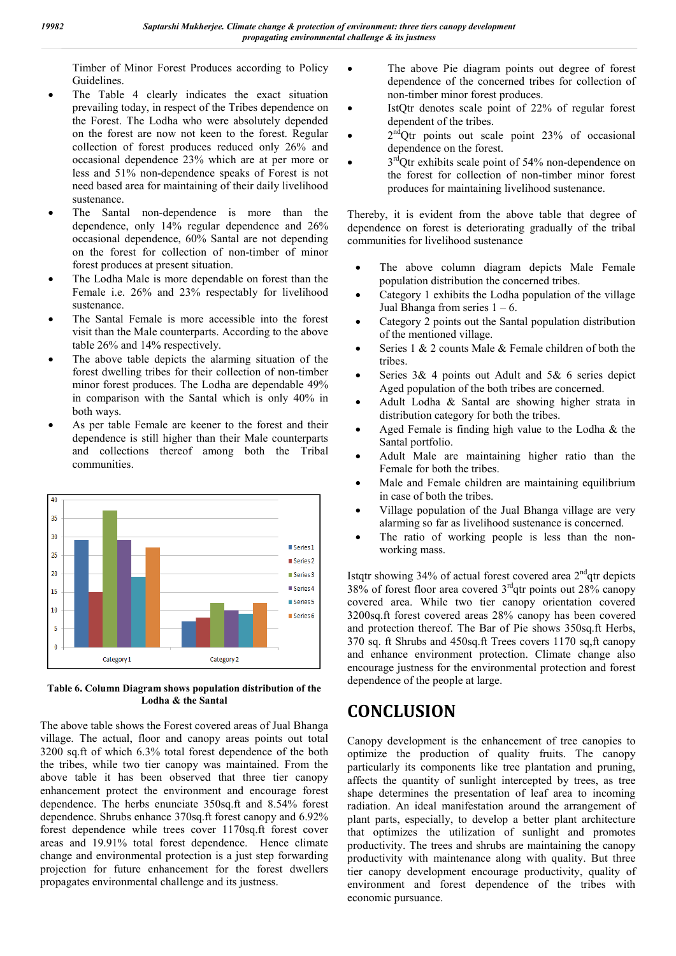Timber of Minor Forest Produces according to Policy Guidelines.

- The Table 4 clearly indicates the exact situation prevailing today, in respect of the Tribes dependence on the Forest. The Lodha who were absolutely depended on the forest are now not keen to the forest. Regular collection of forest produces reduced only 26% and occasional dependence 23% which are at per more or less and 51% non-dependence speaks of Forest is not need based area for maintaining of their daily livelihood sustenance.
- The Santal non-dependence is more than the dependence, only 14% regular dependence and 26% occasional dependence, 60% Santal are not depending on the forest for collection of non-timber of minor forest produces at present situation.
- The Lodha Male is more dependable on forest than the Female i.e. 26% and 23% respectably for livelihood sustenance.
- The Santal Female is more accessible into the forest visit than the Male counterparts. According to the above table 26% and 14% respectively.
- The above table depicts the alarming situation of the forest dwelling tribes for their collection of non-timber minor forest produces. The Lodha are dependable 49% in comparison with the Santal which is only 40% in both ways.
- As per table Female are keener to the forest and their dependence is still higher than their Male counterparts and collections thereof among both the Tribal communities.



**Table 6. Column Diagram shows population distribution of the Lodha & the Santal**

The above table shows the Forest covered areas of Jual Bhanga village. The actual, floor and canopy areas points out total 3200 sq.ft of which 6.3% total forest dependence of the both the tribes, while two tier canopy was maintained. From the above table it has been observed that three tier canopy enhancement protect the environment and encourage forest dependence. The herbs enunciate 350sq.ft and 8.54% forest dependence. Shrubs enhance 370sq.ft forest canopy and 6.92% forest dependence while trees cover 1170sq.ft forest cover areas and 19.91% total forest dependence. Hence climate change and environmental protection is a just step forwarding projection for future enhancement for the forest dwellers propagates environmental challenge and its justness.

- The above Pie diagram points out degree of forest dependence of the concerned tribes for collection of non-timber minor forest produces.
- IstQtr denotes scale point of 22% of regular forest dependent of the tribes.
- $2<sup>nd</sup>Qtr$  points out scale point 23% of occasional dependence on the forest.
- $3<sup>rd</sup>Q$ tr exhibits scale point of 54% non-dependence on the forest for collection of non-timber minor forest produces for maintaining livelihood sustenance.

Thereby, it is evident from the above table that degree of dependence on forest is deteriorating gradually of the tribal communities for livelihood sustenance

- The above column diagram depicts Male Female population distribution the concerned tribes.
- Category 1 exhibits the Lodha population of the village Jual Bhanga from series  $1 - 6$ .
- Category 2 points out the Santal population distribution of the mentioned village.
- Series 1 & 2 counts Male & Female children of both the tribes.
- Series 3& 4 points out Adult and 5& 6 series depict Aged population of the both tribes are concerned.
- Adult Lodha & Santal are showing higher strata in distribution category for both the tribes.
- Aged Female is finding high value to the Lodha & the Santal portfolio.
- Adult Male are maintaining higher ratio than the Female for both the tribes.
- Male and Female children are maintaining equilibrium in case of both the tribes.
- Village population of the Jual Bhanga village are very alarming so far as livelihood sustenance is concerned.
- The ratio of working people is less than the nonworking mass.

Istqtr showing  $34\%$  of actual forest covered area  $2<sup>nd</sup>$ qtr depicts 38% of forest floor area covered  $3<sup>rd</sup>$ gtr points out 28% canopy covered area. While two tier canopy orientation covered 3200sq.ft forest covered areas 28% canopy has been covered and protection thereof. The Bar of Pie shows 350sq.ft Herbs, 370 sq. ft Shrubs and 450sq.ft Trees covers 1170 sq,ft canopy and enhance environment protection. Climate change also encourage justness for the environmental protection and forest dependence of the people at large.

# **CONCLUSION**

Canopy development is the enhancement of tree canopies to optimize the production of quality fruits. The canopy particularly its components like tree plantation and pruning, affects the quantity of sunlight intercepted by trees, as tree shape determines the presentation of leaf area to incoming radiation. An ideal manifestation around the arrangement of plant parts, especially, to develop a better plant architecture that optimizes the utilization of sunlight and promotes productivity. The trees and shrubs are maintaining the canopy productivity with maintenance along with quality. But three tier canopy development encourage productivity, quality of environment and forest dependence of the tribes with economic pursuance.